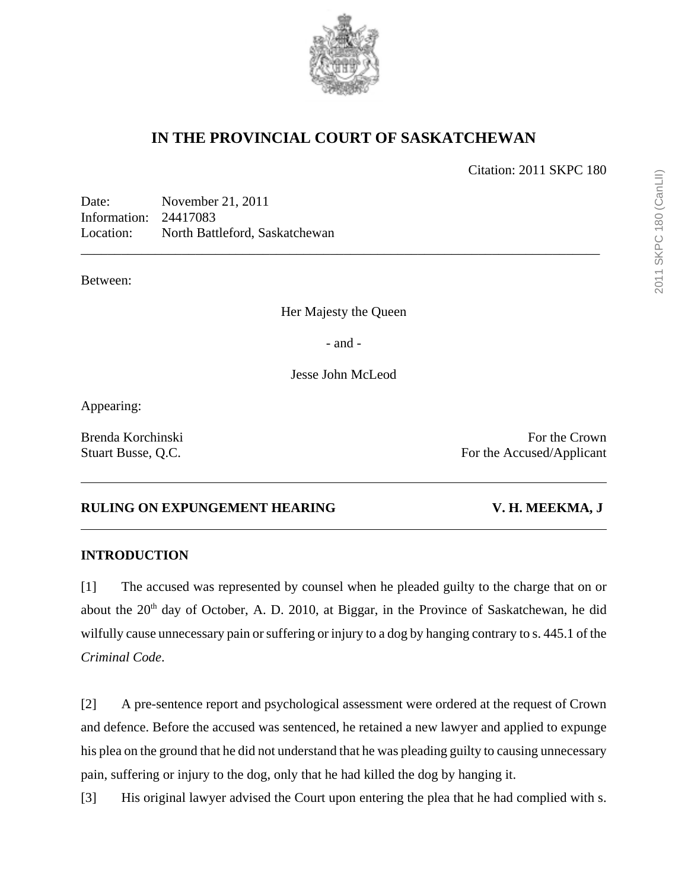

# **IN THE PROVINCIAL COURT OF SASKATCHEWAN**

Citation: 2011 SKPC 180

Date: November 21, 2011 Information: 24417083 Location: North Battleford, Saskatchewan

Between:

Her Majesty the Queen

\_\_\_\_\_\_\_\_\_\_\_\_\_\_\_\_\_\_\_\_\_\_\_\_\_\_\_\_\_\_\_\_\_\_\_\_\_\_\_\_\_\_\_\_\_\_\_\_\_\_\_\_\_\_\_\_\_\_\_\_\_\_\_\_\_\_\_\_\_\_\_\_\_\_\_\_\_

- and -

Jesse John McLeod

Appearing:

Brenda Korchinski For the Crown Stuart Busse, Q.C. For the Accused/Applicant

## **RULING ON EXPUNGEMENT HEARING V. H. MEEKMA, J**

## **INTRODUCTION**

[1] The accused was represented by counsel when he pleaded guilty to the charge that on or about the  $20<sup>th</sup>$  day of October, A. D. 2010, at Biggar, in the Province of Saskatchewan, he did wilfully cause unnecessary pain or suffering or injury to a dog by hanging contrary to s. 445.1 of the *Criminal Code*.

[2] A pre-sentence report and psychological assessment were ordered at the request of Crown and defence. Before the accused was sentenced, he retained a new lawyer and applied to expunge his plea on the ground that he did not understand that he was pleading guilty to causing unnecessary pain, suffering or injury to the dog, only that he had killed the dog by hanging it.

[3] His original lawyer advised the Court upon entering the plea that he had complied with s.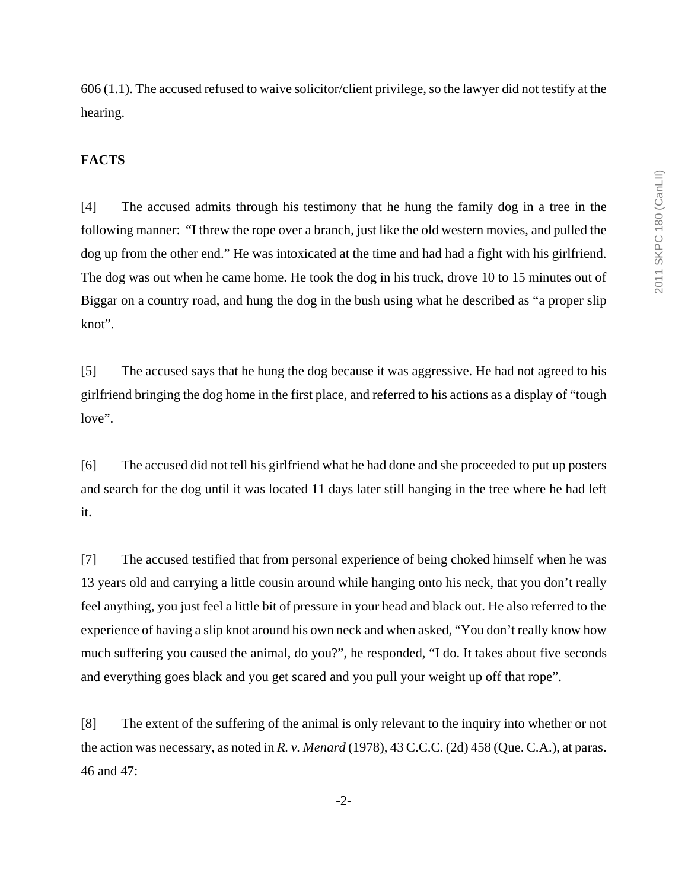606 (1.1). The accused refused to waive solicitor/client privilege, so the lawyer did not testify at the hearing.

#### **FACTS**

[4] The accused admits through his testimony that he hung the family dog in a tree in the following manner: "I threw the rope over a branch, just like the old western movies, and pulled the dog up from the other end." He was intoxicated at the time and had had a fight with his girlfriend. The dog was out when he came home. He took the dog in his truck, drove 10 to 15 minutes out of Biggar on a country road, and hung the dog in the bush using what he described as "a proper slip knot".

[5] The accused says that he hung the dog because it was aggressive. He had not agreed to his girlfriend bringing the dog home in the first place, and referred to his actions as a display of "tough love".

[6] The accused did not tell his girlfriend what he had done and she proceeded to put up posters and search for the dog until it was located 11 days later still hanging in the tree where he had left it.

[7] The accused testified that from personal experience of being choked himself when he was 13 years old and carrying a little cousin around while hanging onto his neck, that you don't really feel anything, you just feel a little bit of pressure in your head and black out. He also referred to the experience of having a slip knot around his own neck and when asked, "You don't really know how much suffering you caused the animal, do you?", he responded, "I do. It takes about five seconds and everything goes black and you get scared and you pull your weight up off that rope".

[8] The extent of the suffering of the animal is only relevant to the inquiry into whether or not the action was necessary, as noted in *R. v. Menard* (1978), 43 C.C.C. (2d) 458 (Que. C.A.), at paras. 46 and 47: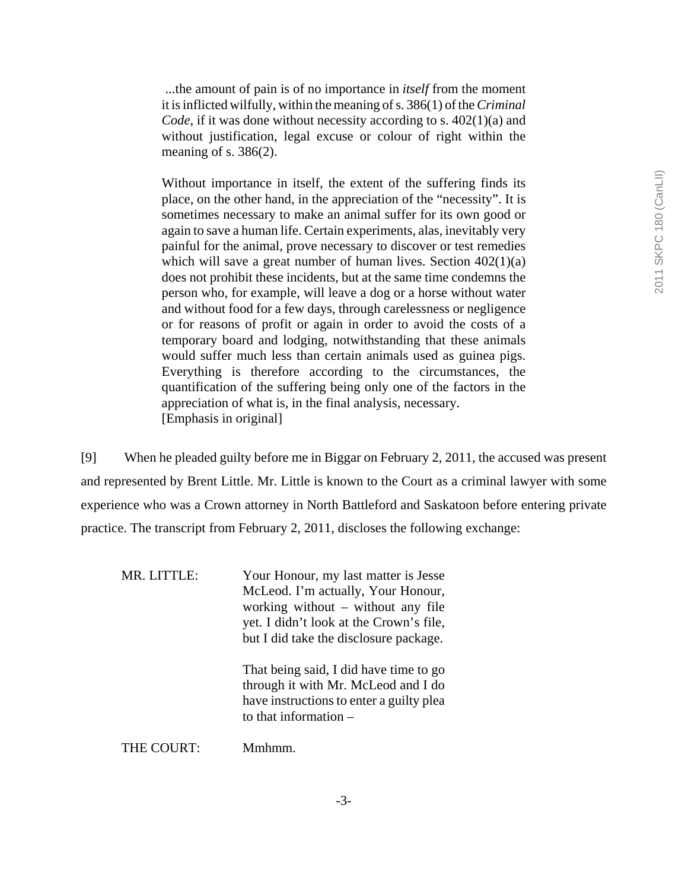...the amount of pain is of no importance in *itself* from the moment it is inflicted wilfully, within the meaning of s. 386(1) of the *Criminal Code*, if it was done without necessity according to s. 402(1)(a) and without justification, legal excuse or colour of right within the meaning of s.  $386(2)$ .

Without importance in itself, the extent of the suffering finds its place, on the other hand, in the appreciation of the "necessity". It is sometimes necessary to make an animal suffer for its own good or again to save a human life. Certain experiments, alas, inevitably very painful for the animal, prove necessary to discover or test remedies which will save a great number of human lives. Section  $402(1)(a)$ does not prohibit these incidents, but at the same time condemns the person who, for example, will leave a dog or a horse without water and without food for a few days, through carelessness or negligence or for reasons of profit or again in order to avoid the costs of a temporary board and lodging, notwithstanding that these animals would suffer much less than certain animals used as guinea pigs. Everything is therefore according to the circumstances, the quantification of the suffering being only one of the factors in the appreciation of what is, in the final analysis, necessary. [Emphasis in original]

[9] When he pleaded guilty before me in Biggar on February 2, 2011, the accused was present and represented by Brent Little. Mr. Little is known to the Court as a criminal lawyer with some experience who was a Crown attorney in North Battleford and Saskatoon before entering private practice. The transcript from February 2, 2011, discloses the following exchange:

| MR. LITTLE: | Your Honour, my last matter is Jesse<br>McLeod. I'm actually, Your Honour,<br>working without $-$ without any file<br>yet. I didn't look at the Crown's file,<br>but I did take the disclosure package. |
|-------------|---------------------------------------------------------------------------------------------------------------------------------------------------------------------------------------------------------|
|             | That being said, I did have time to go<br>through it with Mr. McLeod and I do<br>have instructions to enter a guilty plea<br>to that information $-$                                                    |
| THE COURT:  | Mmhmm                                                                                                                                                                                                   |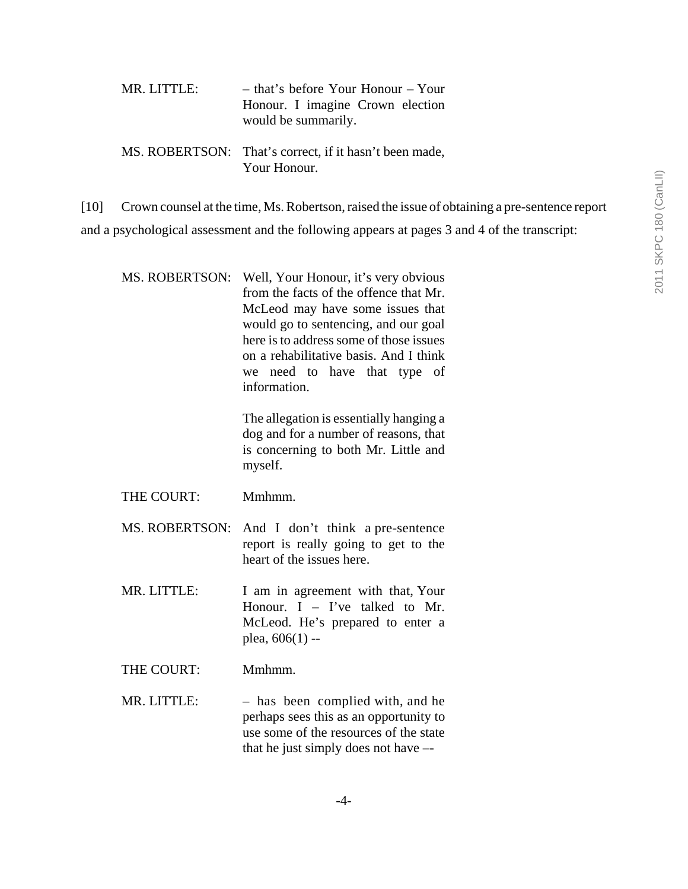| MR. LITTLE: | - that's before Your Honour - Your<br>Honour. I imagine Crown election<br>would be summarily. |
|-------------|-----------------------------------------------------------------------------------------------|
|             | MS. ROBERTSON: That's correct, if it hasn't been made,<br>Your Honour.                        |

[10] Crown counsel at the time, Ms. Robertson, raised the issue of obtaining a pre-sentence report and a psychological assessment and the following appears at pages 3 and 4 of the transcript:

| <b>MS. ROBERTSON:</b> | Well, Your Honour, it's very obvious<br>from the facts of the offence that Mr.<br>McLeod may have some issues that<br>would go to sentencing, and our goal<br>here is to address some of those issues<br>on a rehabilitative basis. And I think<br>we need to have that type<br>of<br>information. |
|-----------------------|----------------------------------------------------------------------------------------------------------------------------------------------------------------------------------------------------------------------------------------------------------------------------------------------------|
|                       | The allegation is essentially hanging a<br>dog and for a number of reasons, that<br>is concerning to both Mr. Little and<br>myself.                                                                                                                                                                |
| THE COURT:            | Mmhmm.                                                                                                                                                                                                                                                                                             |
| <b>MS. ROBERTSON:</b> | And I don't think a pre-sentence<br>report is really going to get to the<br>heart of the issues here.                                                                                                                                                                                              |
| MR. LITTLE:           | I am in agreement with that, Your<br>Honour. $I - I'$ ve talked to Mr.<br>McLeod. He's prepared to enter a<br>plea, $606(1)$ --                                                                                                                                                                    |
| THE COURT:            | Mmhmm.                                                                                                                                                                                                                                                                                             |
| MR. LITTLE:           | - has been complied with, and he                                                                                                                                                                                                                                                                   |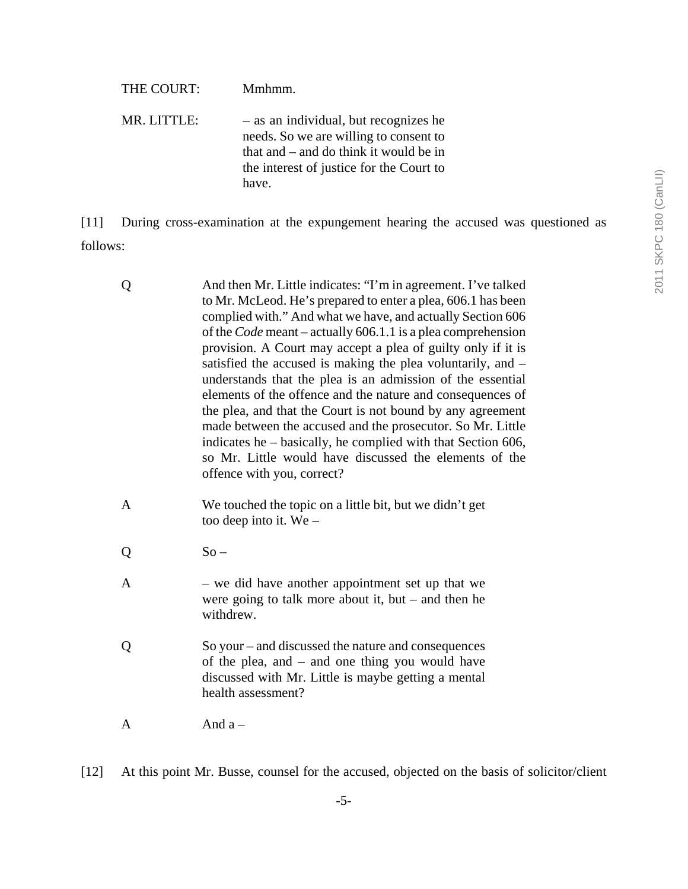| THE COURT:  | Mmhmm.                                                                                                                                                                         |
|-------------|--------------------------------------------------------------------------------------------------------------------------------------------------------------------------------|
| MR. LITTLE: | - as an individual, but recognizes he<br>needs. So we are willing to consent to<br>that and – and do think it would be in<br>the interest of justice for the Court to<br>have. |

[11] During cross-examination at the expungement hearing the accused was questioned as follows:

| Q              | And then Mr. Little indicates: "I'm in agreement. I've talked<br>to Mr. McLeod. He's prepared to enter a plea, 606.1 has been<br>complied with." And what we have, and actually Section 606<br>of the <i>Code</i> meant – actually 606.1.1 is a plea comprehension<br>provision. A Court may accept a plea of guilty only if it is<br>satisfied the accused is making the plea voluntarily, and -<br>understands that the plea is an admission of the essential<br>elements of the offence and the nature and consequences of<br>the plea, and that the Court is not bound by any agreement<br>made between the accused and the prosecutor. So Mr. Little<br>indicates he – basically, he complied with that Section 606,<br>so Mr. Little would have discussed the elements of the<br>offence with you, correct? |
|----------------|-------------------------------------------------------------------------------------------------------------------------------------------------------------------------------------------------------------------------------------------------------------------------------------------------------------------------------------------------------------------------------------------------------------------------------------------------------------------------------------------------------------------------------------------------------------------------------------------------------------------------------------------------------------------------------------------------------------------------------------------------------------------------------------------------------------------|
| $\mathbf{A}$   | We touched the topic on a little bit, but we didn't get<br>too deep into it. We $-$                                                                                                                                                                                                                                                                                                                                                                                                                                                                                                                                                                                                                                                                                                                               |
| Q              | $So -$                                                                                                                                                                                                                                                                                                                                                                                                                                                                                                                                                                                                                                                                                                                                                                                                            |
| $\overline{A}$ | - we did have another appointment set up that we<br>were going to talk more about it, but $-$ and then he<br>withdrew.                                                                                                                                                                                                                                                                                                                                                                                                                                                                                                                                                                                                                                                                                            |
| Q              | So your – and discussed the nature and consequences<br>of the plea, and - and one thing you would have<br>discussed with Mr. Little is maybe getting a mental<br>health assessment?                                                                                                                                                                                                                                                                                                                                                                                                                                                                                                                                                                                                                               |
| A              | And $a -$                                                                                                                                                                                                                                                                                                                                                                                                                                                                                                                                                                                                                                                                                                                                                                                                         |
|                |                                                                                                                                                                                                                                                                                                                                                                                                                                                                                                                                                                                                                                                                                                                                                                                                                   |

[12] At this point Mr. Busse, counsel for the accused, objected on the basis of solicitor/client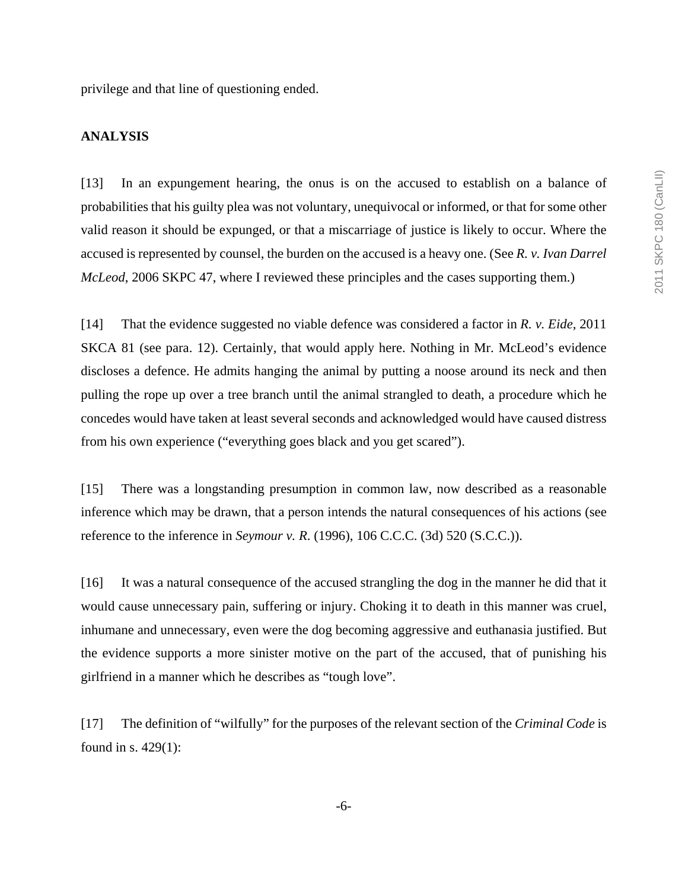privilege and that line of questioning ended.

### **ANALYSIS**

[13] In an expungement hearing, the onus is on the accused to establish on a balance of probabilities that his guilty plea was not voluntary, unequivocal or informed, or that for some other valid reason it should be expunged, or that a miscarriage of justice is likely to occur. Where the accused is represented by counsel, the burden on the accused is a heavy one. (See *R. v. Ivan Darrel McLeod*, 2006 SKPC 47, where I reviewed these principles and the cases supporting them.)

[14] That the evidence suggested no viable defence was considered a factor in *R. v. Eide*, 2011 SKCA 81 (see para. 12). Certainly, that would apply here. Nothing in Mr. McLeod's evidence discloses a defence. He admits hanging the animal by putting a noose around its neck and then pulling the rope up over a tree branch until the animal strangled to death, a procedure which he concedes would have taken at least several seconds and acknowledged would have caused distress from his own experience ("everything goes black and you get scared").

[15] There was a longstanding presumption in common law, now described as a reasonable inference which may be drawn, that a person intends the natural consequences of his actions (see reference to the inference in *Seymour v. R*. (1996), 106 C.C.C. (3d) 520 (S.C.C.)).

[16] It was a natural consequence of the accused strangling the dog in the manner he did that it would cause unnecessary pain, suffering or injury. Choking it to death in this manner was cruel, inhumane and unnecessary, even were the dog becoming aggressive and euthanasia justified. But the evidence supports a more sinister motive on the part of the accused, that of punishing his girlfriend in a manner which he describes as "tough love".

[17] The definition of "wilfully" for the purposes of the relevant section of the *Criminal Code* is found in s. 429(1):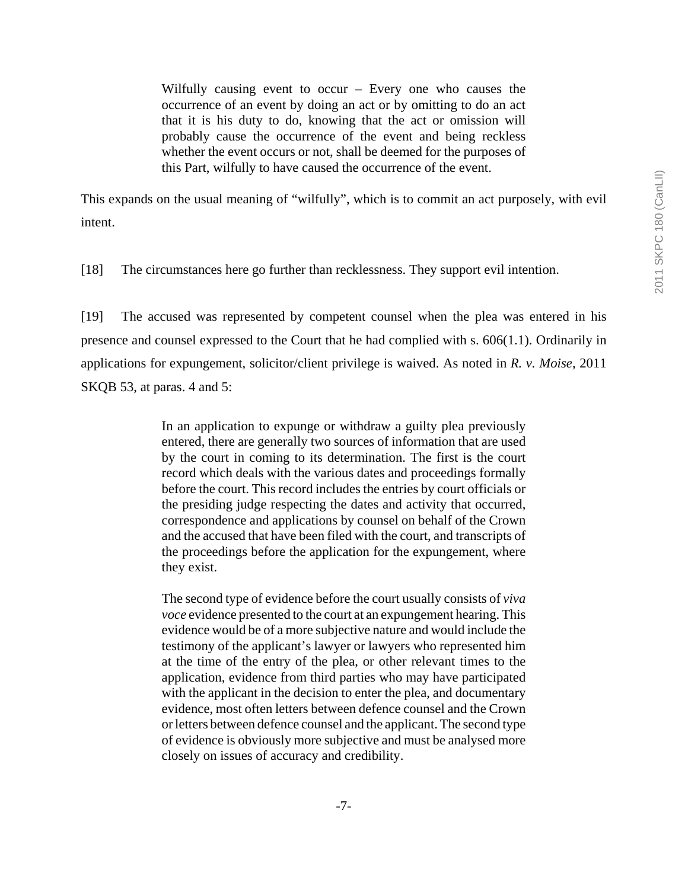Wilfully causing event to occur – Every one who causes the occurrence of an event by doing an act or by omitting to do an act that it is his duty to do, knowing that the act or omission will probably cause the occurrence of the event and being reckless whether the event occurs or not, shall be deemed for the purposes of this Part, wilfully to have caused the occurrence of the event.

This expands on the usual meaning of "wilfully", which is to commit an act purposely, with evil intent.

[18] The circumstances here go further than recklessness. They support evil intention.

[19] The accused was represented by competent counsel when the plea was entered in his presence and counsel expressed to the Court that he had complied with s. 606(1.1). Ordinarily in applications for expungement, solicitor/client privilege is waived. As noted in *R. v. Moise*, 2011 SKQB 53, at paras. 4 and 5:

> In an application to expunge or withdraw a guilty plea previously entered, there are generally two sources of information that are used by the court in coming to its determination. The first is the court record which deals with the various dates and proceedings formally before the court. This record includes the entries by court officials or the presiding judge respecting the dates and activity that occurred, correspondence and applications by counsel on behalf of the Crown and the accused that have been filed with the court, and transcripts of the proceedings before the application for the expungement, where they exist.

> The second type of evidence before the court usually consists of *viva voce* evidence presented to the court at an expungement hearing. This evidence would be of a more subjective nature and would include the testimony of the applicant's lawyer or lawyers who represented him at the time of the entry of the plea, or other relevant times to the application, evidence from third parties who may have participated with the applicant in the decision to enter the plea, and documentary evidence, most often letters between defence counsel and the Crown or letters between defence counsel and the applicant. The second type of evidence is obviously more subjective and must be analysed more closely on issues of accuracy and credibility.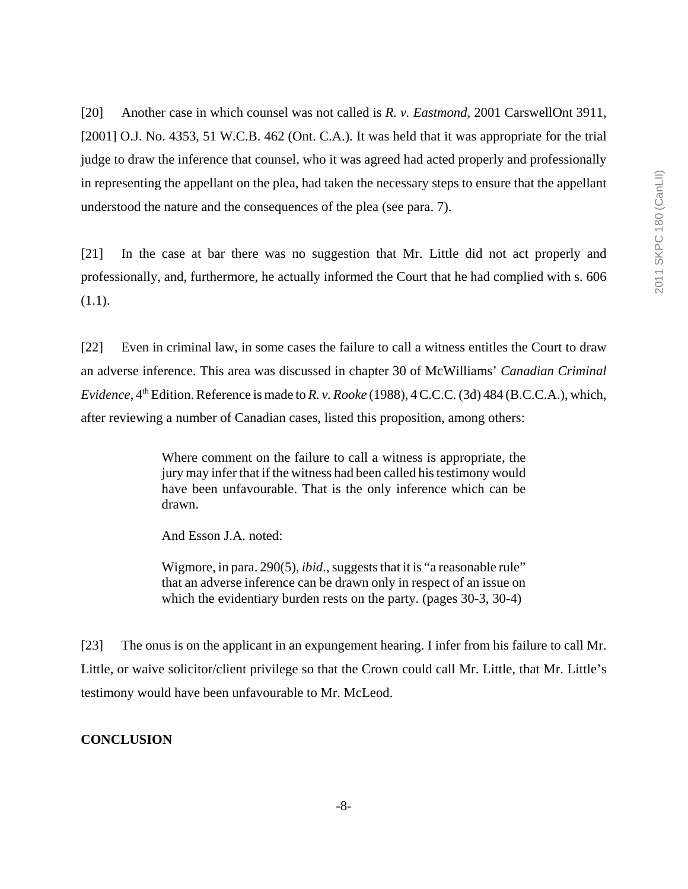[20] Another case in which counsel was not called is *R. v. Eastmond*, 2001 CarswellOnt 3911, [2001] O.J. No. 4353, 51 W.C.B. 462 (Ont. C.A.). It was held that it was appropriate for the trial judge to draw the inference that counsel, who it was agreed had acted properly and professionally in representing the appellant on the plea, had taken the necessary steps to ensure that the appellant understood the nature and the consequences of the plea (see para. 7).

[21] In the case at bar there was no suggestion that Mr. Little did not act properly and professionally, and, furthermore, he actually informed the Court that he had complied with s. 606 (1.1).

[22] Even in criminal law, in some cases the failure to call a witness entitles the Court to draw an adverse inference. This area was discussed in chapter 30 of McWilliams' *Canadian Criminal Evidence*, 4<sup>th</sup> Edition. Reference is made to *R. v. Rooke* (1988), 4 C.C.C. (3d) 484 (B.C.C.A.), which, after reviewing a number of Canadian cases, listed this proposition, among others:

> Where comment on the failure to call a witness is appropriate, the jury may infer that if the witness had been called his testimony would have been unfavourable. That is the only inference which can be drawn.

And Esson J.A. noted:

Wigmore, in para. 290(5), *ibid*., suggests that it is "a reasonable rule" that an adverse inference can be drawn only in respect of an issue on which the evidentiary burden rests on the party. (pages 30-3, 30-4)

[23] The onus is on the applicant in an expungement hearing. I infer from his failure to call Mr. Little, or waive solicitor/client privilege so that the Crown could call Mr. Little, that Mr. Little's testimony would have been unfavourable to Mr. McLeod.

#### **CONCLUSION**